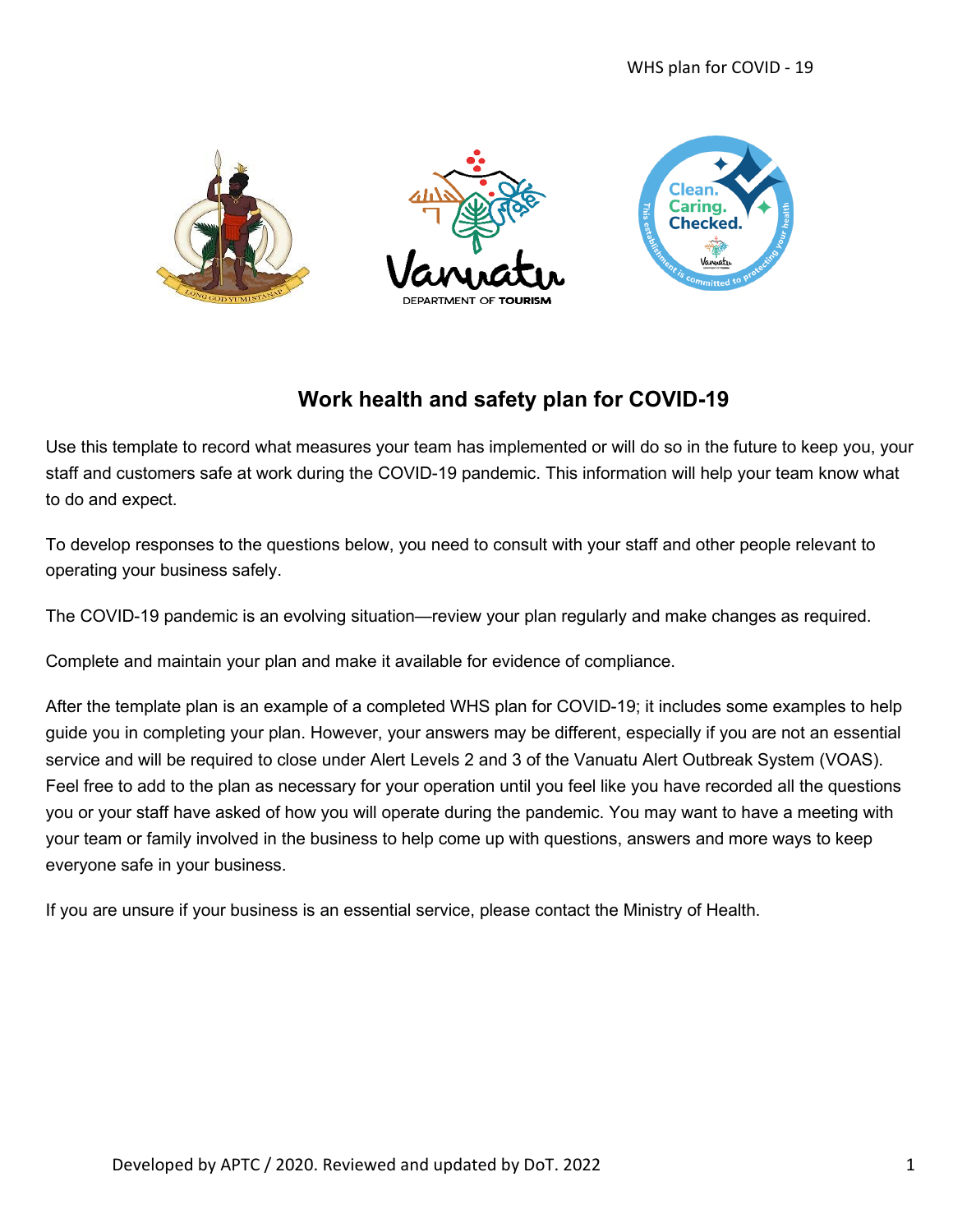

## **Work health and safety plan for COVID-19**

Use this template to record what measures your team has implemented or will do so in the future to keep you, your staff and customers safe at work during the COVID-19 pandemic. This information will help your team know what to do and expect.

To develop responses to the questions below, you need to consult with your staff and other people relevant to operating your business safely.

The COVID-19 pandemic is an evolving situation—review your plan regularly and make changes as required.

Complete and maintain your plan and make it available for evidence of compliance.

After the template plan is an example of a completed WHS plan for COVID-19; it includes some examples to help guide you in completing your plan. However, your answers may be different, especially if you are not an essential service and will be required to close under Alert Levels 2 and 3 of the Vanuatu Alert Outbreak System (VOAS). Feel free to add to the plan as necessary for your operation until you feel like you have recorded all the questions you or your staff have asked of how you will operate during the pandemic. You may want to have a meeting with your team or family involved in the business to help come up with questions, answers and more ways to keep everyone safe in your business.

If you are unsure if your business is an essential service, please contact the Ministry of Health.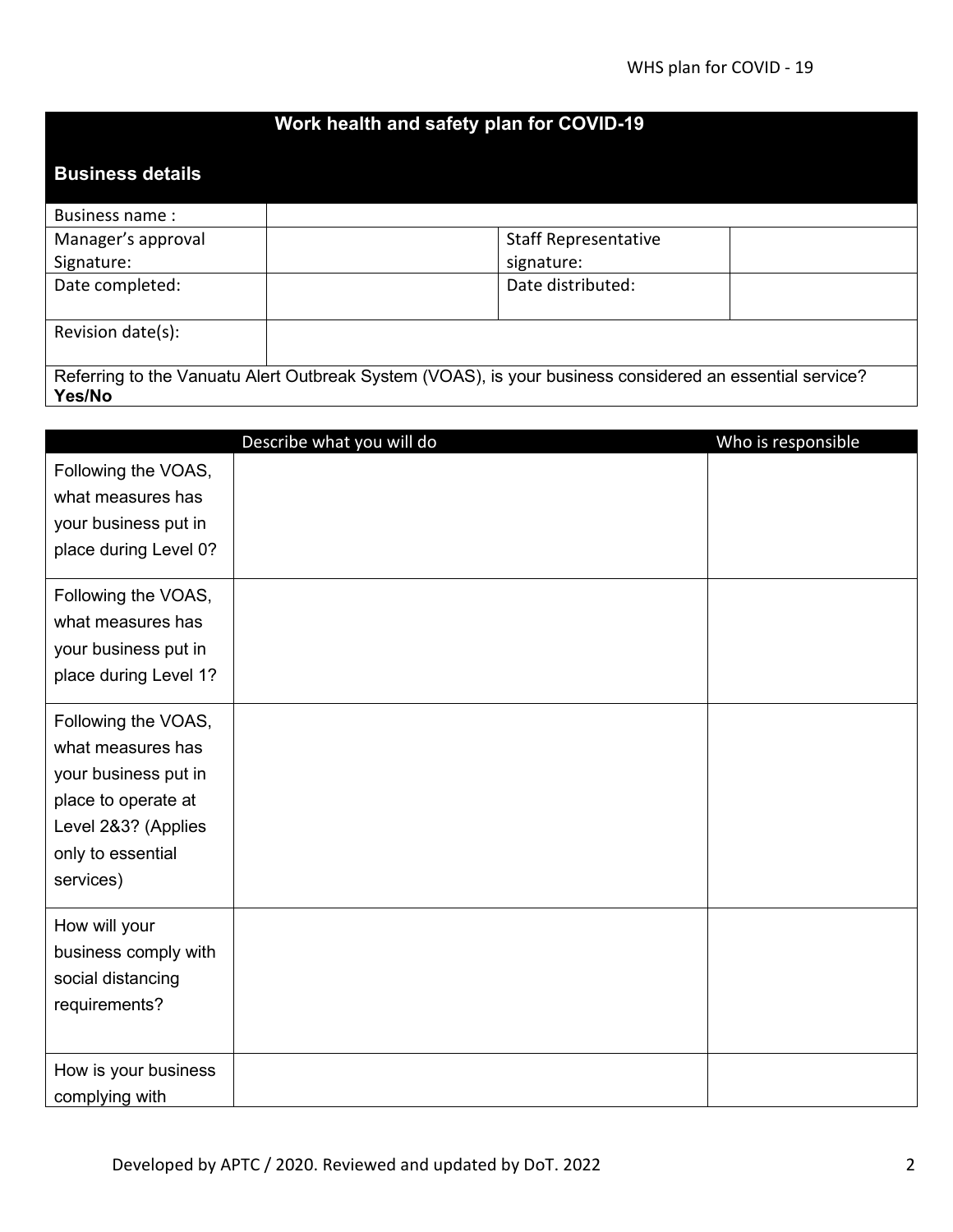## **Work health and safety plan for COVID-19**

## **Business details**

| Business name:                                                                                           |                             |  |
|----------------------------------------------------------------------------------------------------------|-----------------------------|--|
| Manager's approval                                                                                       | <b>Staff Representative</b> |  |
| Signature:                                                                                               | signature:                  |  |
| Date completed:                                                                                          | Date distributed:           |  |
|                                                                                                          |                             |  |
| Revision date(s):                                                                                        |                             |  |
|                                                                                                          |                             |  |
| Referring to the Vanuatu Alert Outbreak System (VOAS), is your business considered an essential service? |                             |  |
| Yes/No                                                                                                   |                             |  |

|                       | Describe what you will do | Who is responsible |
|-----------------------|---------------------------|--------------------|
| Following the VOAS,   |                           |                    |
| what measures has     |                           |                    |
| your business put in  |                           |                    |
| place during Level 0? |                           |                    |
| Following the VOAS,   |                           |                    |
| what measures has     |                           |                    |
| your business put in  |                           |                    |
| place during Level 1? |                           |                    |
| Following the VOAS,   |                           |                    |
| what measures has     |                           |                    |
| your business put in  |                           |                    |
| place to operate at   |                           |                    |
| Level 2&3? (Applies   |                           |                    |
| only to essential     |                           |                    |
| services)             |                           |                    |
| How will your         |                           |                    |
| business comply with  |                           |                    |
| social distancing     |                           |                    |
| requirements?         |                           |                    |
|                       |                           |                    |
| How is your business  |                           |                    |
| complying with        |                           |                    |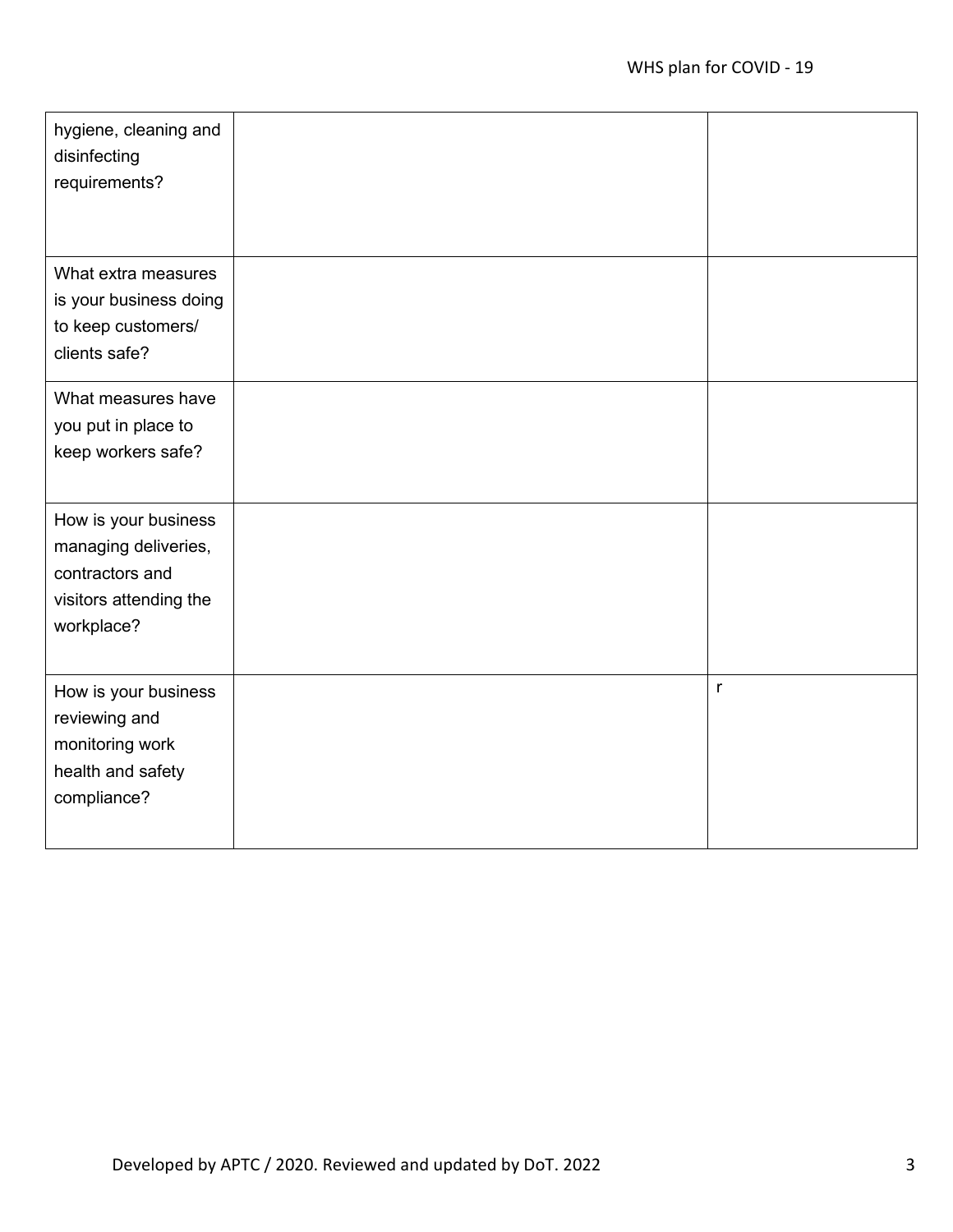| hygiene, cleaning and<br>disinfecting<br>requirements?                                                  |              |
|---------------------------------------------------------------------------------------------------------|--------------|
| What extra measures<br>is your business doing<br>to keep customers/<br>clients safe?                    |              |
| What measures have<br>you put in place to<br>keep workers safe?                                         |              |
| How is your business<br>managing deliveries,<br>contractors and<br>visitors attending the<br>workplace? |              |
| How is your business<br>reviewing and<br>monitoring work<br>health and safety<br>compliance?            | $\mathsf{r}$ |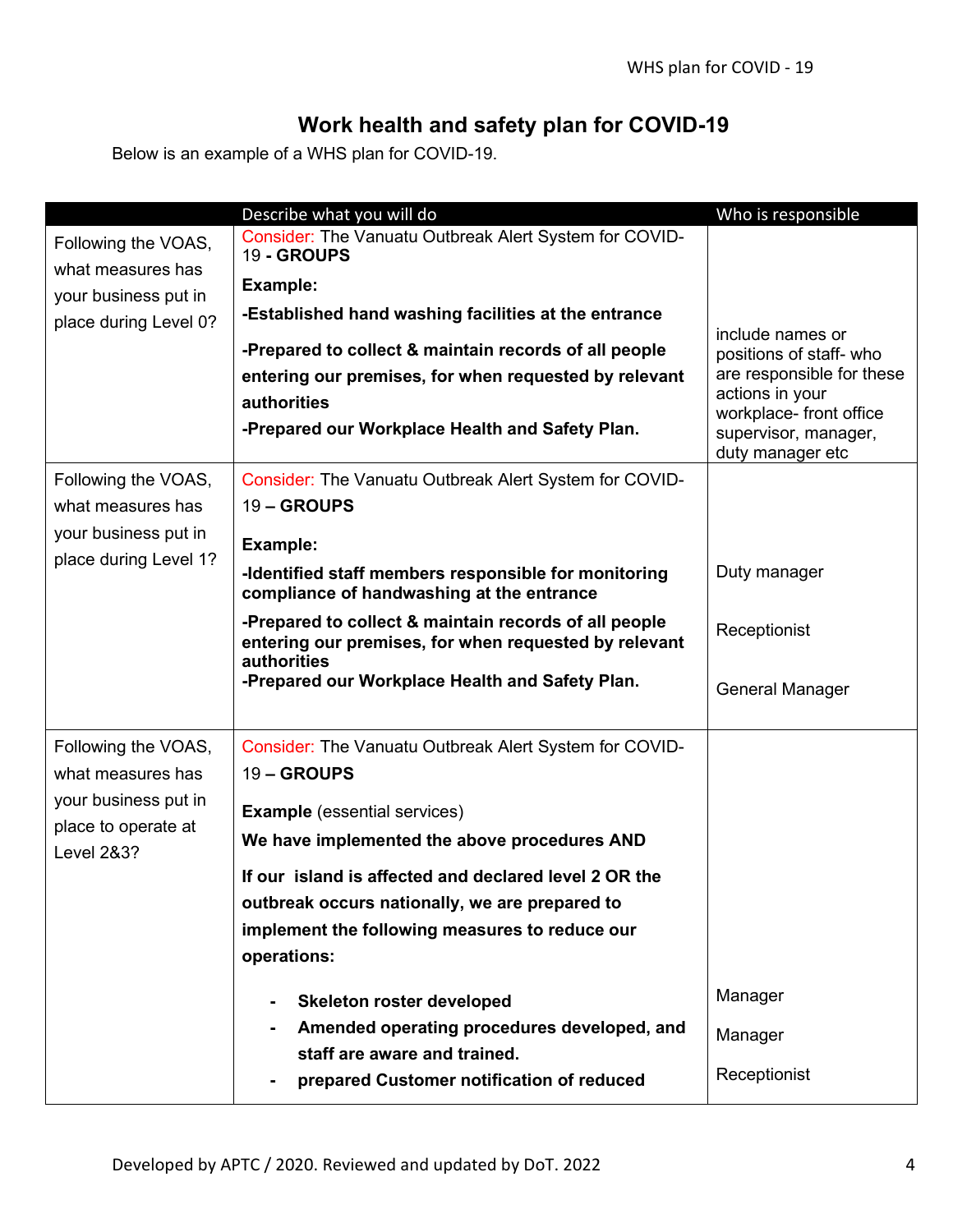## **Work health and safety plan for COVID-19**

Below is an example of a WHS plan for COVID-19.

|                                              | Describe what you will do                                                                                                                                                        | Who is responsible                                                                                                                            |
|----------------------------------------------|----------------------------------------------------------------------------------------------------------------------------------------------------------------------------------|-----------------------------------------------------------------------------------------------------------------------------------------------|
| Following the VOAS,                          | Consider: The Vanuatu Outbreak Alert System for COVID-<br>19 - GROUPS                                                                                                            |                                                                                                                                               |
| what measures has                            |                                                                                                                                                                                  |                                                                                                                                               |
| your business put in                         | Example:                                                                                                                                                                         |                                                                                                                                               |
| place during Level 0?                        | -Established hand washing facilities at the entrance                                                                                                                             | include names or                                                                                                                              |
|                                              | -Prepared to collect & maintain records of all people<br>entering our premises, for when requested by relevant<br>authorities<br>-Prepared our Workplace Health and Safety Plan. | positions of staff-who<br>are responsible for these<br>actions in your<br>workplace- front office<br>supervisor, manager,<br>duty manager etc |
| Following the VOAS,                          | Consider: The Vanuatu Outbreak Alert System for COVID-                                                                                                                           |                                                                                                                                               |
| what measures has                            | 19-GROUPS                                                                                                                                                                        |                                                                                                                                               |
| your business put in                         | Example:                                                                                                                                                                         |                                                                                                                                               |
| place during Level 1?                        | -Identified staff members responsible for monitoring<br>compliance of handwashing at the entrance                                                                                | Duty manager                                                                                                                                  |
|                                              | -Prepared to collect & maintain records of all people<br>entering our premises, for when requested by relevant<br>authorities                                                    | Receptionist                                                                                                                                  |
|                                              | -Prepared our Workplace Health and Safety Plan.                                                                                                                                  | <b>General Manager</b>                                                                                                                        |
| Following the VOAS,                          | Consider: The Vanuatu Outbreak Alert System for COVID-                                                                                                                           |                                                                                                                                               |
| what measures has                            | 19 - GROUPS                                                                                                                                                                      |                                                                                                                                               |
| your business put in                         | <b>Example</b> (essential services)                                                                                                                                              |                                                                                                                                               |
| place to operate at<br><b>Level 2&amp;3?</b> | We have implemented the above procedures AND                                                                                                                                     |                                                                                                                                               |
|                                              | If our island is affected and declared level 2 OR the                                                                                                                            |                                                                                                                                               |
|                                              | outbreak occurs nationally, we are prepared to                                                                                                                                   |                                                                                                                                               |
|                                              | implement the following measures to reduce our                                                                                                                                   |                                                                                                                                               |
|                                              | operations:                                                                                                                                                                      |                                                                                                                                               |
|                                              | Skeleton roster developed<br>$\blacksquare$                                                                                                                                      | Manager                                                                                                                                       |
|                                              | Amended operating procedures developed, and<br>staff are aware and trained.                                                                                                      | Manager                                                                                                                                       |
|                                              | prepared Customer notification of reduced                                                                                                                                        | Receptionist                                                                                                                                  |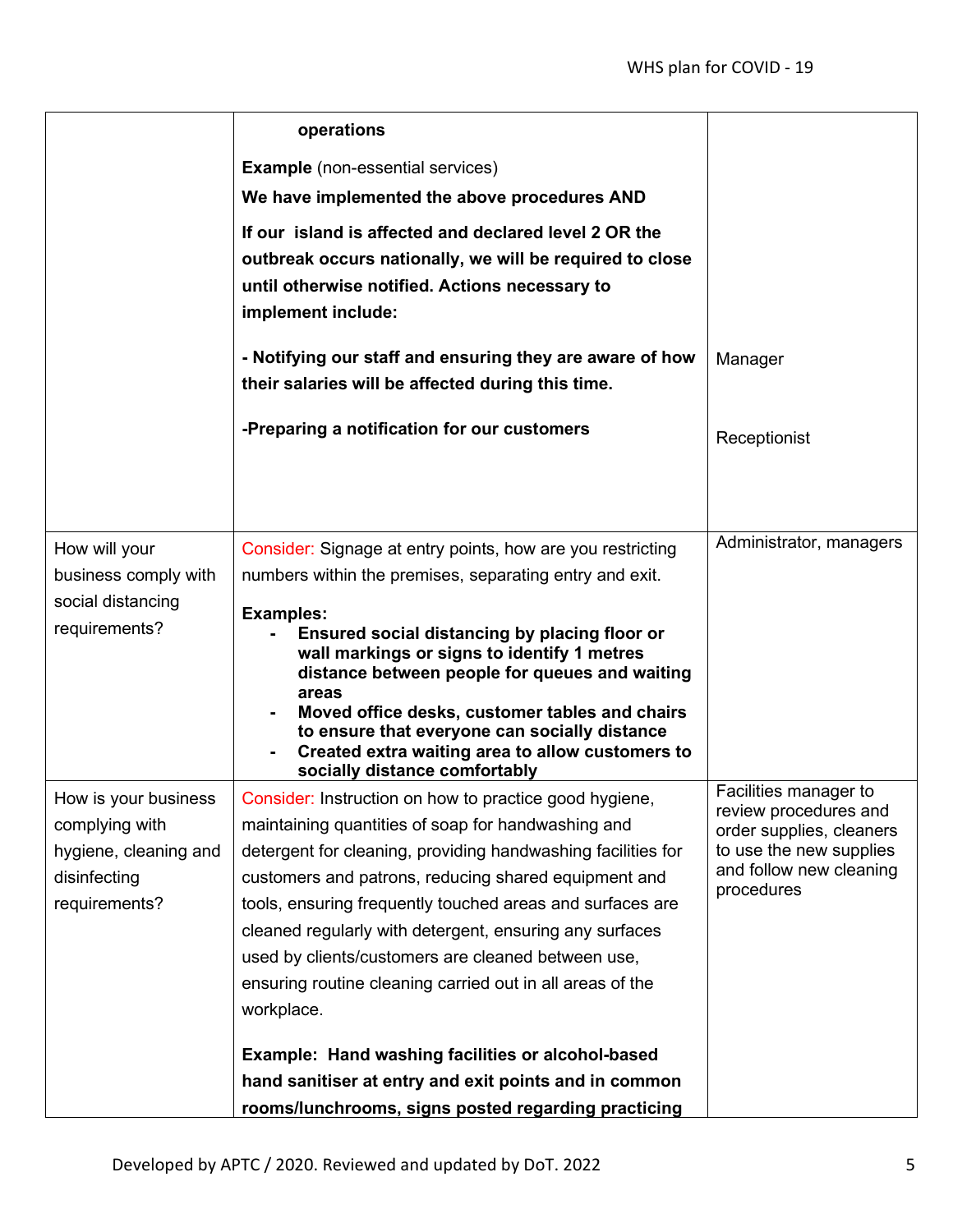|                                                                                                  | operations                                                                                                                                                                                                                                                                                                                                                                                                                                                                                                                                                                                                                                                         |                                                                                                                                                |
|--------------------------------------------------------------------------------------------------|--------------------------------------------------------------------------------------------------------------------------------------------------------------------------------------------------------------------------------------------------------------------------------------------------------------------------------------------------------------------------------------------------------------------------------------------------------------------------------------------------------------------------------------------------------------------------------------------------------------------------------------------------------------------|------------------------------------------------------------------------------------------------------------------------------------------------|
|                                                                                                  | <b>Example</b> (non-essential services)                                                                                                                                                                                                                                                                                                                                                                                                                                                                                                                                                                                                                            |                                                                                                                                                |
|                                                                                                  | We have implemented the above procedures AND                                                                                                                                                                                                                                                                                                                                                                                                                                                                                                                                                                                                                       |                                                                                                                                                |
|                                                                                                  | If our island is affected and declared level 2 OR the<br>outbreak occurs nationally, we will be required to close<br>until otherwise notified. Actions necessary to<br>implement include:                                                                                                                                                                                                                                                                                                                                                                                                                                                                          |                                                                                                                                                |
|                                                                                                  | - Notifying our staff and ensuring they are aware of how<br>their salaries will be affected during this time.                                                                                                                                                                                                                                                                                                                                                                                                                                                                                                                                                      | Manager                                                                                                                                        |
|                                                                                                  | -Preparing a notification for our customers                                                                                                                                                                                                                                                                                                                                                                                                                                                                                                                                                                                                                        | Receptionist                                                                                                                                   |
|                                                                                                  |                                                                                                                                                                                                                                                                                                                                                                                                                                                                                                                                                                                                                                                                    |                                                                                                                                                |
| How will your<br>business comply with<br>social distancing<br>requirements?                      | Consider: Signage at entry points, how are you restricting<br>numbers within the premises, separating entry and exit.<br><b>Examples:</b><br>Ensured social distancing by placing floor or<br>wall markings or signs to identify 1 metres<br>distance between people for queues and waiting<br>areas<br>Moved office desks, customer tables and chairs<br>to ensure that everyone can socially distance<br>Created extra waiting area to allow customers to<br>socially distance comfortably                                                                                                                                                                       | Administrator, managers                                                                                                                        |
| How is your business<br>complying with<br>hygiene, cleaning and<br>disinfecting<br>requirements? | Consider: Instruction on how to practice good hygiene,<br>maintaining quantities of soap for handwashing and<br>detergent for cleaning, providing handwashing facilities for<br>customers and patrons, reducing shared equipment and<br>tools, ensuring frequently touched areas and surfaces are<br>cleaned regularly with detergent, ensuring any surfaces<br>used by clients/customers are cleaned between use,<br>ensuring routine cleaning carried out in all areas of the<br>workplace.<br>Example: Hand washing facilities or alcohol-based<br>hand sanitiser at entry and exit points and in common<br>rooms/lunchrooms, signs posted regarding practicing | Facilities manager to<br>review procedures and<br>order supplies, cleaners<br>to use the new supplies<br>and follow new cleaning<br>procedures |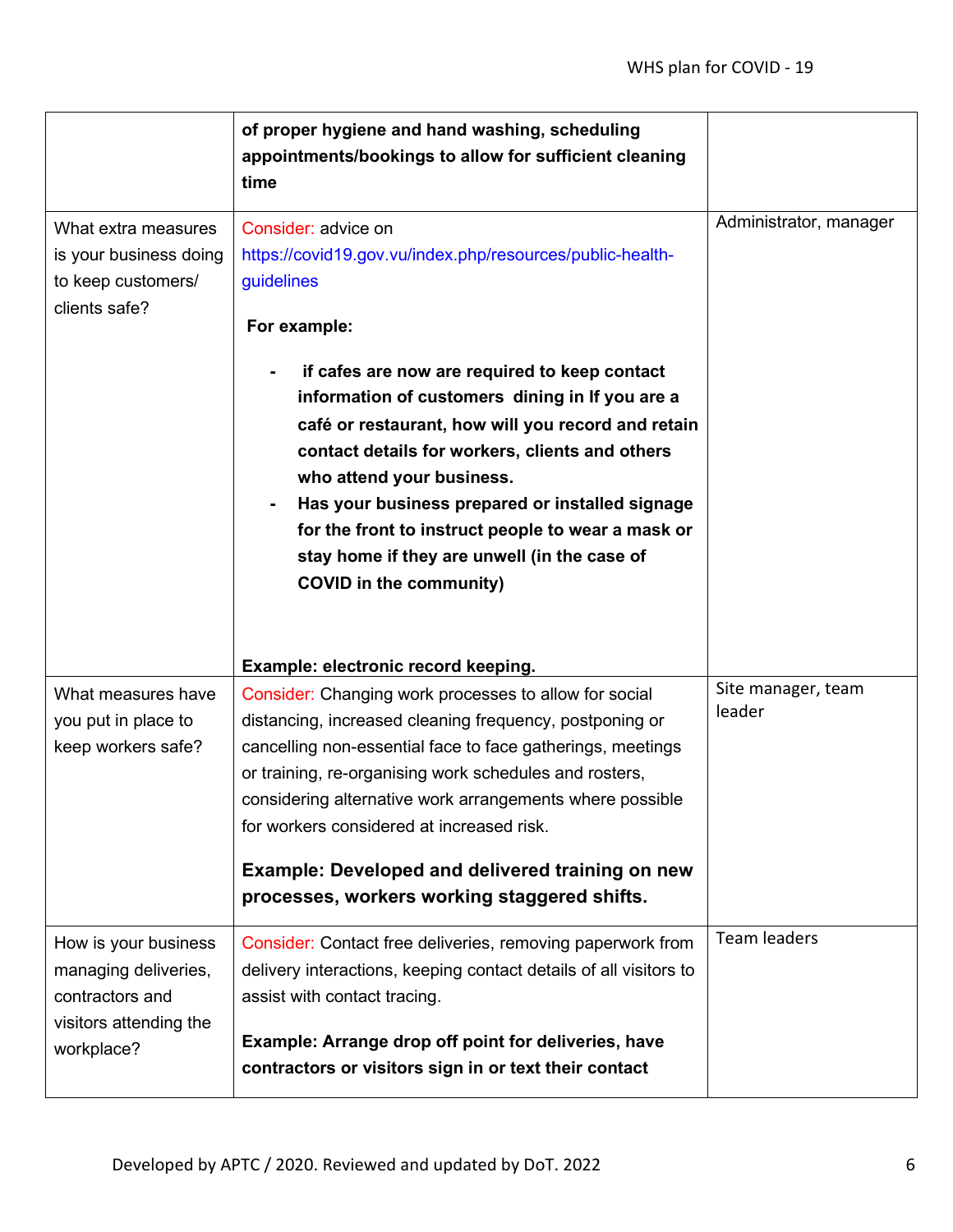|                                                                                                         | of proper hygiene and hand washing, scheduling<br>appointments/bookings to allow for sufficient cleaning<br>time                                                                                                                                                                                                                                                                                                                                      |                              |
|---------------------------------------------------------------------------------------------------------|-------------------------------------------------------------------------------------------------------------------------------------------------------------------------------------------------------------------------------------------------------------------------------------------------------------------------------------------------------------------------------------------------------------------------------------------------------|------------------------------|
| What extra measures<br>is your business doing<br>to keep customers/<br>clients safe?                    | Consider: advice on<br>https://covid19.gov.vu/index.php/resources/public-health-<br>guidelines<br>For example:                                                                                                                                                                                                                                                                                                                                        | Administrator, manager       |
|                                                                                                         | if cafes are now are required to keep contact<br>information of customers dining in If you are a<br>café or restaurant, how will you record and retain<br>contact details for workers, clients and others<br>who attend your business.<br>Has your business prepared or installed signage<br>for the front to instruct people to wear a mask or<br>stay home if they are unwell (in the case of<br><b>COVID in the community)</b>                     |                              |
|                                                                                                         | Example: electronic record keeping.                                                                                                                                                                                                                                                                                                                                                                                                                   |                              |
| What measures have<br>you put in place to<br>keep workers safe?                                         | Consider: Changing work processes to allow for social<br>distancing, increased cleaning frequency, postponing or<br>cancelling non-essential face to face gatherings, meetings<br>or training, re-organising work schedules and rosters,<br>considering alternative work arrangements where possible<br>for workers considered at increased risk.<br>Example: Developed and delivered training on new<br>processes, workers working staggered shifts. | Site manager, team<br>leader |
|                                                                                                         |                                                                                                                                                                                                                                                                                                                                                                                                                                                       |                              |
| How is your business<br>managing deliveries,<br>contractors and<br>visitors attending the<br>workplace? | Consider: Contact free deliveries, removing paperwork from<br>delivery interactions, keeping contact details of all visitors to<br>assist with contact tracing.<br>Example: Arrange drop off point for deliveries, have<br>contractors or visitors sign in or text their contact                                                                                                                                                                      | <b>Team leaders</b>          |
|                                                                                                         |                                                                                                                                                                                                                                                                                                                                                                                                                                                       |                              |